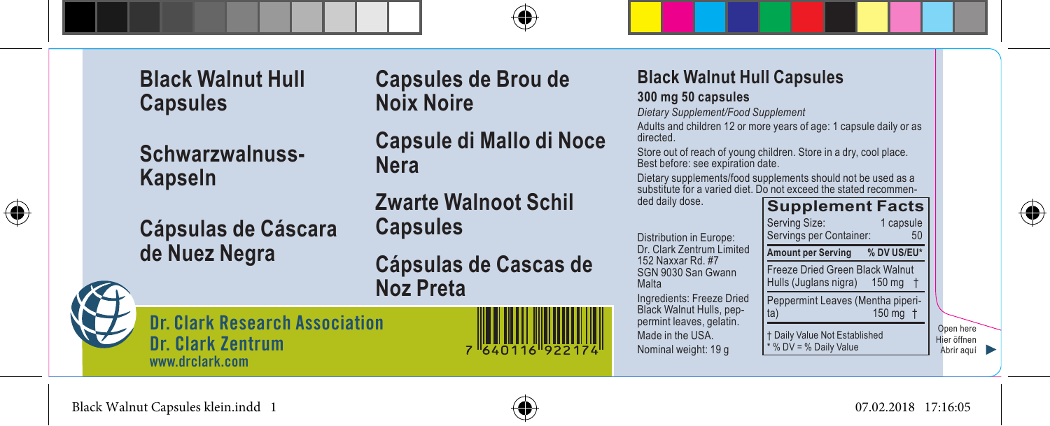



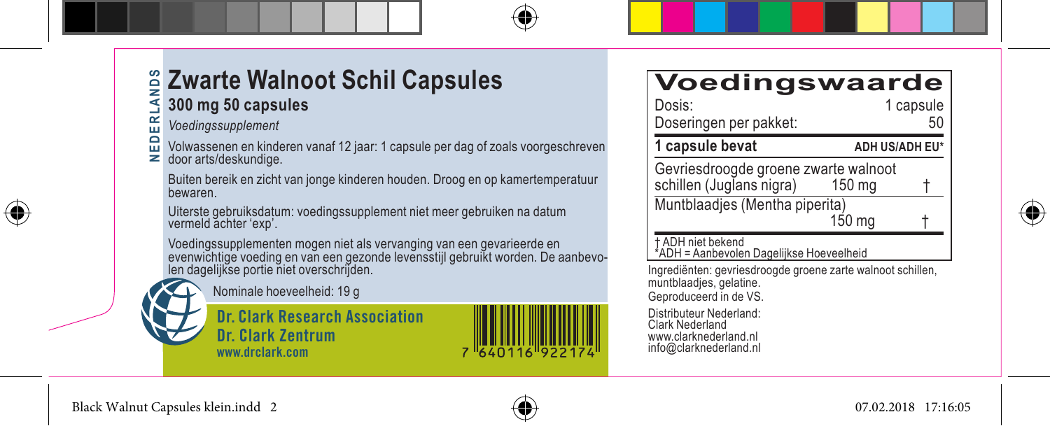| Zwarte Walnoot Schil Capsules<br>300 mg 50 capsules<br>Voedingssupplement                                                                                                                                                                                     | <b>Voeding</b><br>Dosis:<br>Doseringen per pakket:                                                                                            |
|---------------------------------------------------------------------------------------------------------------------------------------------------------------------------------------------------------------------------------------------------------------|-----------------------------------------------------------------------------------------------------------------------------------------------|
| Volwassenen en kinderen vanaf 12 jaar: 1 capsule per dag of zoals voorgeschreven                                                                                                                                                                              | 1 capsule bevat                                                                                                                               |
| door arts/deskundige.<br>Buiten bereik en zicht van jonge kinderen houden. Droog en op kamertemperatuur<br>bewaren.<br>Uiterste gebruiksdatum: voedingssupplement niet meer gebruiken na datum                                                                | Gevriesdroogde groene<br>schillen (Juglans nigra)<br>Muntblaadjes (Mentha p                                                                   |
| vermeld achter 'exp'.<br>Voedingssupplementen mogen niet als vervanging van een gevarieerde en<br>evenwichtige voeding en van een gezonde levensstijl gebruikt worden. De aanbevo-<br>len dagelijkse portie niet overschrijden.<br>Nominale hoeveelheid: 19 g | <b>+ADH</b> niet bekend<br>*ADH = Aanbevolen Dagelijks<br>Ingrediënten: gevriesdroogde g<br>muntblaadjes, gelatine.<br>Geproduceerd in de VS. |
| <b>Dr. Clark Research Association</b><br><b>Dr. Clark Zentrum</b><br>www.drclark.com<br>"640<br>6                                                                                                                                                             | Distributeur Nederland:<br>Clark Nederland<br>www.clarknederland.nl<br>info@clarknederland.nl                                                 |





*Vo*<br>Vol<br>do

**N E D E R LA N D S** 

NEDERLANDS

 $\bigoplus$ 

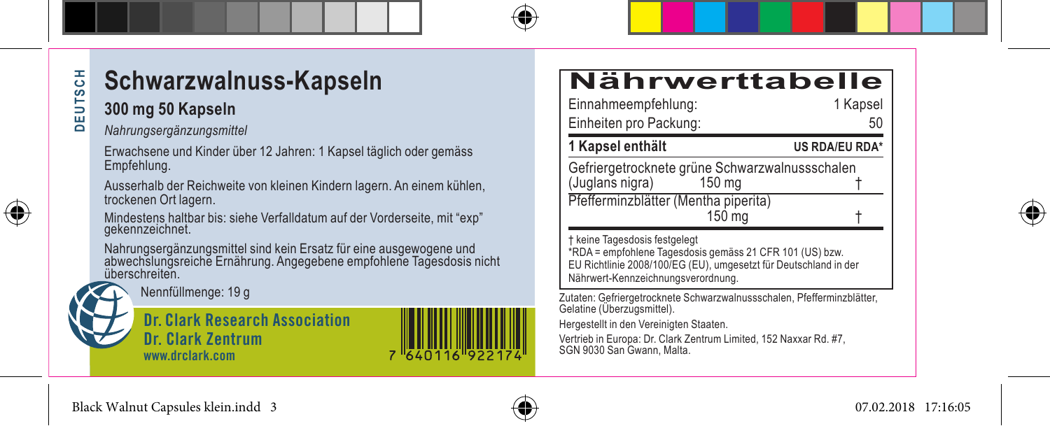

# **Schwarzwalnuss-Kapseln**

### **PEUTSCH DEUTSCH 300 mg 50 Kapseln**

⊕

*Nahrungsergänzungsmittel*

Erwachsene und Kinder über 12 Jahren: 1 Kapsel täglich oder gemäss Empfehlung.

Ausserhalb der Reichweite von kleinen Kindern lagern. An einem kühlen, trockenen Ort lagern.

Mindestens haltbar bis: siehe Verfalldatum auf der Vorderseite, mit "exp" gekennzeichnet.

Nahrungsergänzungsmittel sind kein Ersatz für eine ausgewogene und abwechslungsreiche Ernährung. Angegebene empfohlene Tagesdosis nicht überschreiten.

Nennfüllmenge: 19 g

**Dr. Clark Research Association Dr. Clark Zentrum www.drclark.com**

| Einnahmeempfehlung:                                                                                                                                                                                 | 1 Kapsel       |
|-----------------------------------------------------------------------------------------------------------------------------------------------------------------------------------------------------|----------------|
| Einheiten pro Packung:                                                                                                                                                                              | 50             |
| 1 Kapsel enthält                                                                                                                                                                                    | US RDA/EU RDA* |
| Gefriergetrocknete grüne Schwarzwalnussschalen<br>(Juglans nigra)<br>150 mg                                                                                                                         |                |
| Pfefferminzblätter (Mentha piperita)<br>150 <sub>ma</sub>                                                                                                                                           |                |
| † keine Tagesdosis festgelegt<br>*RDA = empfohlene Tagesdosis gemäss 21 CFR 101 (US) bzw.<br>EU Richtlinie 2008/100/EG (EU), umgesetzt für Deutschland in der<br>Nährwert-Kennzeichnungsverordnung. |                |
| Zutaten: Gefriergetrocknete Schwarzwalnussschalen, Pfefferminzblätter,<br>Gelatine (Uberzugsmittel).                                                                                                |                |
| Hergestellt in den Vereinigten Staaten.                                                                                                                                                             |                |
| Vertrieb in Europa: Dr. Clark Zentrum Limited, 152 Naxxar Rd. #7,<br>SGN 9030 San Gwann, Malta.                                                                                                     |                |



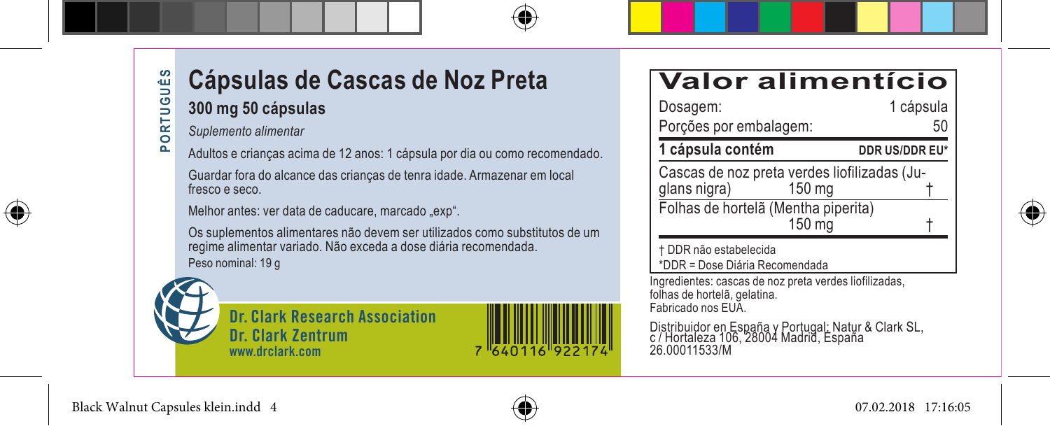

### **PORTUGUÊS TUGUÊS** POR<sup>-</sup> *Suplemento alimentar* Adultos e crianças acima de 12 anos: 1 cápsula por dia ou como recomendado. Guardar fora do alcance das crianças de tenra idade. Armazenar em local fresco e seco.

**300 mg 50 cápsulas**

Melhor antes: ver data de caducare, marcado "exp".

Os suplementos alimentares não devem ser utilizados como substitutos de um regime alimentar variado. Não exceda a dose diária recomendada. Peso nominal: 19 g

**Cápsulas de Cascas de Noz Preta**



**Dr. Clark Research Association Dr. Clark Zentrum www.drclark.com**



| Valor alimentício      |           |
|------------------------|-----------|
| Dosagem:               | 1 cápsula |
| Porções por embalagem: | 50        |

**1 cápsula contém DDR US/DDR EU\*** 

Cascas de noz preta verdes liofilizadas (Ju-<br>qlans nigra) 150 mg glans nigra) Folhas de hortelã (Mentha piperita)  $150$  mg

† DDR não estabelecida \*DDR = Dose Diária Recomendada

Ingredientes: cascas de noz preta verdes liofilizadas, folhas de hortelã, gelatina. Fabricado nos EUA.

Distribuidor en España y Portugal: Natur & Clark SL, c / Hortaleza 106, 28004 Madrid, España 26.00011533/M



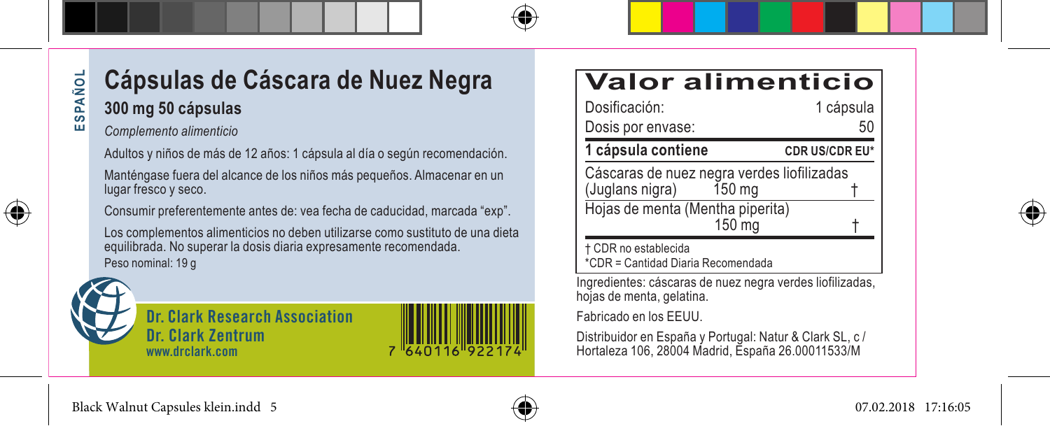



## **Cápsulas de Cáscara de Nuez Negra 300 mg 50 cápsulas**

#### *Complemento alimenticio*

Adultos y niños de más de 12 años: 1 cápsula al día o según recomendación.

Manténgase fuera del alcance de los niños más pequeños. Almacenar en un lugar fresco y seco.

Consumir preferentemente antes de: vea fecha de caducidad, marcada "exp".

Los complementos alimenticios no deben utilizarse como sustituto de una dieta equilibrada. No superar la dosis diaria expresamente recomendada. Peso nominal: 19 g



**Dr. Clark Research Association Dr. Clark Zentrum www.drclark.com**

### **Valor alimenticio**

| Dosificación:<br>Dosis por envase:                                      | 1 cápsula<br>50 |
|-------------------------------------------------------------------------|-----------------|
| 1 cápsula contiene                                                      | CDR US/CDR EU*  |
| Cáscaras de nuez negra verdes liofilizadas<br>(Juglans nigra)<br>150 mg |                 |
| Hojas de menta (Mentha piperita)<br>150 mg                              |                 |
| CDR no establecida                                                      |                 |

\*CDR = Cantidad Diaria Recomendada

Ingredientes: cáscaras de nuez negra verdes liofilizadas, hojas de menta, gelatina.

Fabricado en los EEUU.

Distribuidor en España y Portugal: Natur & Clark SL, c / Hortaleza 106, 28004 Madrid, España 26.00011533/M



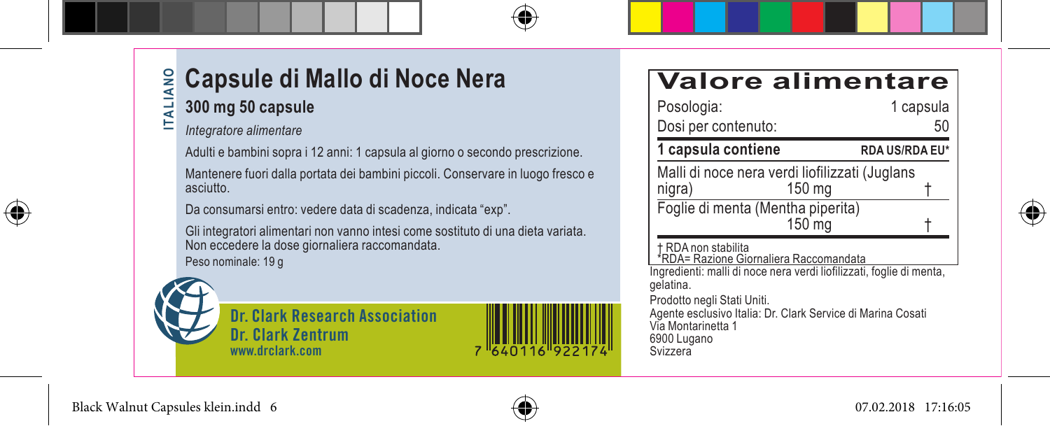

*Integratore alimentare*

Adulti e bambini sopra i 12 anni: 1 capsula al giorno o secondo prescrizione.

Mantenere fuori dalla portata dei bambini piccoli. Conservare in luogo fresco e asciutto.

Da consumarsi entro: vedere data di scadenza, indicata "exp".

Gli integratori alimentari non vanno intesi come sostituto di una dieta variata. Non eccedere la dose giornaliera raccomandata. Peso nominale: 19 g



⊕

**Dr. Clark Research Association Dr. Clark Zentrum www.drclark.com**



| Valore alimentare                                                                                                                                                                                                                                                                                |                       |
|--------------------------------------------------------------------------------------------------------------------------------------------------------------------------------------------------------------------------------------------------------------------------------------------------|-----------------------|
| Posologia:                                                                                                                                                                                                                                                                                       | 1 capsula             |
| Dosi per contenuto:                                                                                                                                                                                                                                                                              | 50                    |
| 1 capsula contiene                                                                                                                                                                                                                                                                               | <b>RDA US/RDA EU*</b> |
| Malli di noce nera verdi liofilizzati (Juglans<br>150 mg<br>nigra)                                                                                                                                                                                                                               |                       |
| Foglie di menta (Mentha piperita)<br>$150$ ma                                                                                                                                                                                                                                                    |                       |
| † RDA non stabilita<br>RDA= Razione Giornaliera Raccomandata<br>Ingredienti: malli di noce nera verdi liofilizzati, foglie di menta,<br>gelatina.<br>Prodotto negli Stati Uniti.<br>Agente esclusivo Italia: Dr. Clark Service di Marina Cosati<br>Via Montarinetta 1<br>6900 Lugano<br>Svizzera |                       |



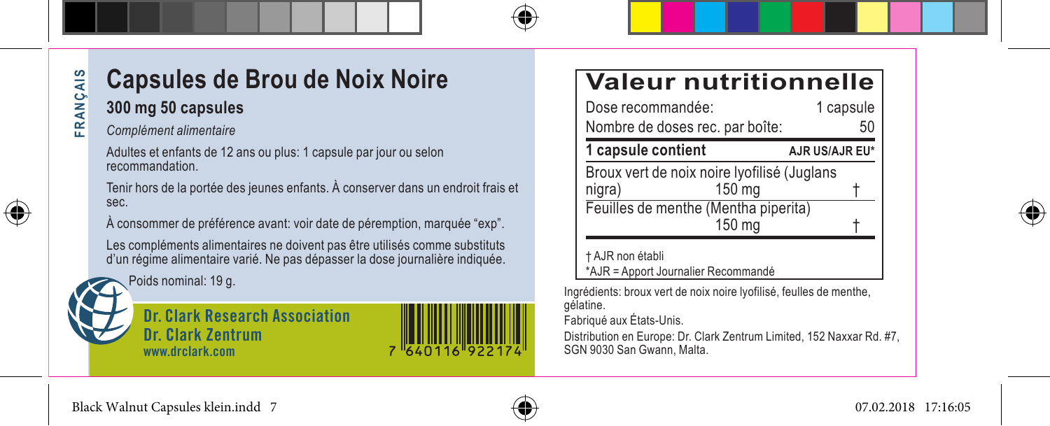



## **Capsules de Brou de Noix Noire 300 mg 50 capsules**

*Complément alimentaire*

Adultes et enfants de 12 ans ou plus: 1 capsule par jour ou selon recommandation.

Tenir hors de la portée des jeunes enfants. À conserver dans un endroit frais et sec.

À consommer de préférence avant: voir date de péremption, marquée "exp".

Les compléments alimentaires ne doivent pas être utilisés comme substituts d'un régime alimentaire varié. Ne pas dépasser la dose journalière indiquée.



**Dr. Clark Research Association Dr. Clark Zentrum www.drclark.com**

### **Valeur nutritionnelle**

|                                                                                                              | Dose recommandée:<br>Nombre de doses rec. par boîte:            |                | 1 capsule<br>50 |  |
|--------------------------------------------------------------------------------------------------------------|-----------------------------------------------------------------|----------------|-----------------|--|
|                                                                                                              | 1 capsule contient                                              | AJR US/AJR EU* |                 |  |
|                                                                                                              | Broux vert de noix noire lyofilisé (Juglans<br>150 mg<br>nigra) |                |                 |  |
|                                                                                                              | Feuilles de menthe (Mentha piperita)<br>150 mg                  |                |                 |  |
|                                                                                                              | † AJR non établi<br>*AJR = Apport Journalier Recommandé         |                |                 |  |
| Ingrédients: broux vert de noix noire lyofilisé, feulles de menthe,<br>gélatine.<br>Fabriqué aux États-Unis. |                                                                 |                |                 |  |

Distribution en Europe: Dr. Clark Zentrum Limited, 152 Naxxar Rd. #7, SGN 9030 San Gwann, Malta.